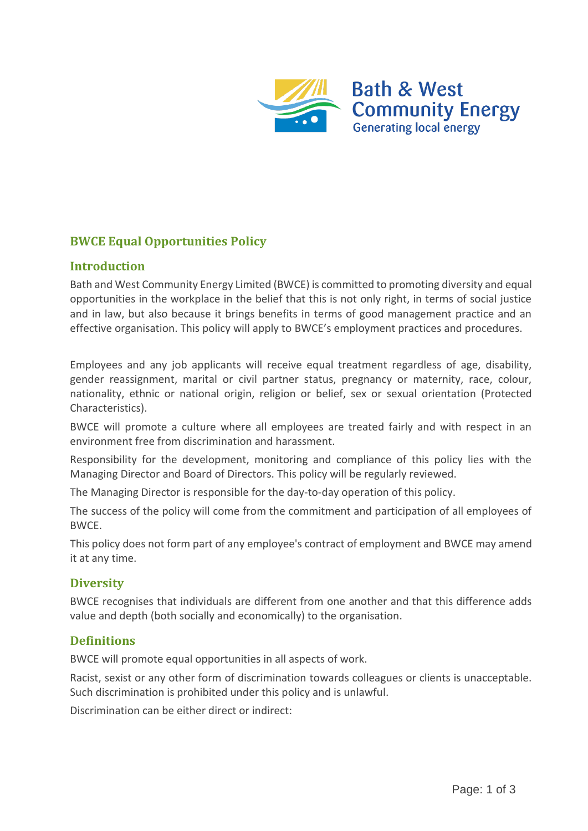

# **BWCE Equal Opportunities Policy**

### **Introduction**

Bath and West Community Energy Limited (BWCE) is committed to promoting diversity and equal opportunities in the workplace in the belief that this is not only right, in terms of social justice and in law, but also because it brings benefits in terms of good management practice and an effective organisation. This policy will apply to BWCE's employment practices and procedures.

Employees and any job applicants will receive equal treatment regardless of age, disability, gender reassignment, marital or civil partner status, pregnancy or maternity, race, colour, nationality, ethnic or national origin, religion or belief, sex or sexual orientation (Protected Characteristics).

BWCE will promote a culture where all employees are treated fairly and with respect in an environment free from discrimination and harassment.

Responsibility for the development, monitoring and compliance of this policy lies with the Managing Director and Board of Directors. This policy will be regularly reviewed.

The Managing Director is responsible for the day-to-day operation of this policy.

The success of the policy will come from the commitment and participation of all employees of BWCE.

This policy does not form part of any employee's contract of employment and BWCE may amend it at any time.

## **Diversity**

BWCE recognises that individuals are different from one another and that this difference adds value and depth (both socially and economically) to the organisation.

## **Definitions**

BWCE will promote equal opportunities in all aspects of work.

Racist, sexist or any other form of discrimination towards colleagues or clients is unacceptable. Such discrimination is prohibited under this policy and is unlawful.

Discrimination can be either direct or indirect: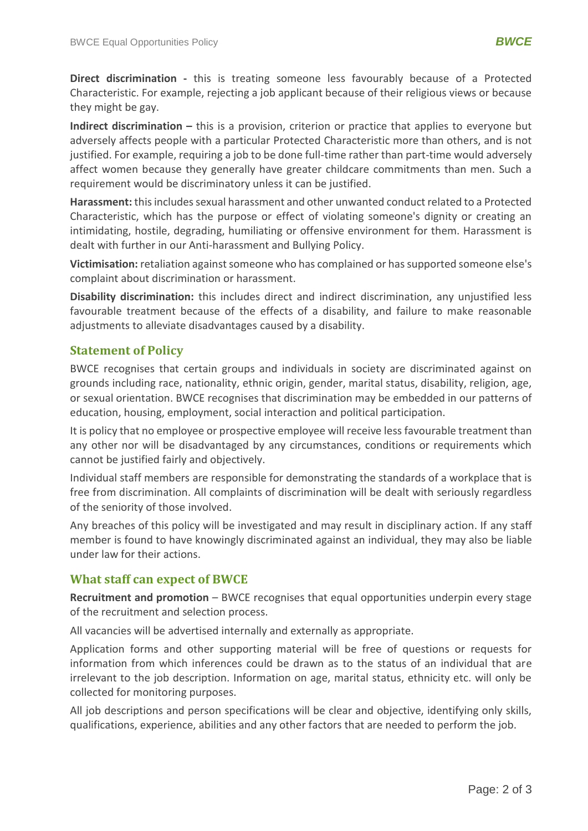**Direct discrimination -** this is treating someone less favourably because of a Protected Characteristic. For example, rejecting a job applicant because of their religious views or because they might be gay.

**Indirect discrimination –** this is a provision, criterion or practice that applies to everyone but adversely affects people with a particular Protected Characteristic more than others, and is not justified. For example, requiring a job to be done full-time rather than part-time would adversely affect women because they generally have greater childcare commitments than men. Such a requirement would be discriminatory unless it can be justified.

**Harassment:** this includes sexual harassment and other unwanted conduct related to a Protected Characteristic, which has the purpose or effect of violating someone's dignity or creating an intimidating, hostile, degrading, humiliating or offensive environment for them. Harassment is dealt with further in our Anti-harassment and Bullying Policy.

**Victimisation:** retaliation against someone who has complained or has supported someone else's complaint about discrimination or harassment.

**Disability discrimination:** this includes direct and indirect discrimination, any unjustified less favourable treatment because of the effects of a disability, and failure to make reasonable adjustments to alleviate disadvantages caused by a disability.

## **Statement of Policy**

BWCE recognises that certain groups and individuals in society are discriminated against on grounds including race, nationality, ethnic origin, gender, marital status, disability, religion, age, or sexual orientation. BWCE recognises that discrimination may be embedded in our patterns of education, housing, employment, social interaction and political participation.

It is policy that no employee or prospective employee will receive less favourable treatment than any other nor will be disadvantaged by any circumstances, conditions or requirements which cannot be justified fairly and objectively.

Individual staff members are responsible for demonstrating the standards of a workplace that is free from discrimination. All complaints of discrimination will be dealt with seriously regardless of the seniority of those involved.

Any breaches of this policy will be investigated and may result in disciplinary action. If any staff member is found to have knowingly discriminated against an individual, they may also be liable under law for their actions.

## **What staff can expect of BWCE**

**Recruitment and promotion** – BWCE recognises that equal opportunities underpin every stage of the recruitment and selection process.

All vacancies will be advertised internally and externally as appropriate.

Application forms and other supporting material will be free of questions or requests for information from which inferences could be drawn as to the status of an individual that are irrelevant to the job description. Information on age, marital status, ethnicity etc. will only be collected for monitoring purposes.

All job descriptions and person specifications will be clear and objective, identifying only skills, qualifications, experience, abilities and any other factors that are needed to perform the job.